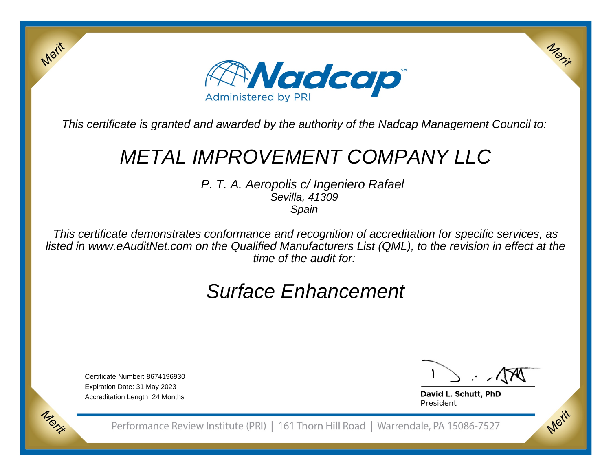

This certificate is granted and awarded by the authority of the Nadcap Management Council to:

# METAL IMPROVEMENT COMPANY LLC

P. T. A. Aeropolis c/ Ingeniero Rafael Sevilla, 41309Spain

This certificate demonstrates conformance and recognition of accreditation for specific services, as listed in www.eAuditNet.com on the Qualified Manufacturers List (QML), to the revision in effect at thetime of the audit for:

# Surface Enhancement

Certificate Number: 8674196930Expiration Date: 31 May 2023Accreditation Length: 24 Months

Merit

Morie

Merix

Merit

David L. Schutt, PhD President

Performance Review Institute (PRI) | 161 Thorn Hill Road | Warrendale, PA 15086-7527